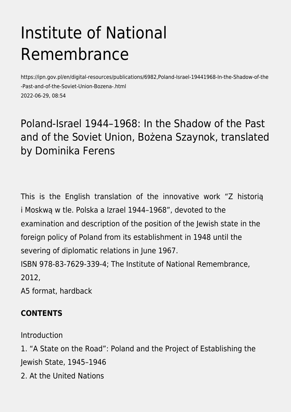# Institute of National Remembrance

https://ipn.gov.pl/en/digital-resources/publications/6982,Poland-Israel-19441968-In-the-Shadow-of-the -Past-and-of-the-Soviet-Union-Bozena-.html 2022-06-29, 08:54

### Poland-Israel 1944–1968: In the Shadow of the Past and of the Soviet Union, Bożena Szaynok, translated by Dominika Ferens

This is the English translation of the innovative work "Z historią i Moskwą w tle. Polska a Izrael 1944–1968", devoted to the examination and description of the position of the Jewish state in the foreign policy of Poland from its establishment in 1948 until the severing of diplomatic relations in June 1967. ISBN 978-83-7629-339-4; The Institute of National Remembrance,

2012,

A5 format, hardback

#### **CONTENTS**

Introduction

1. "A State on the Road": Poland and the Project of Establishing the Jewish State, 1945–1946

2. At the United Nations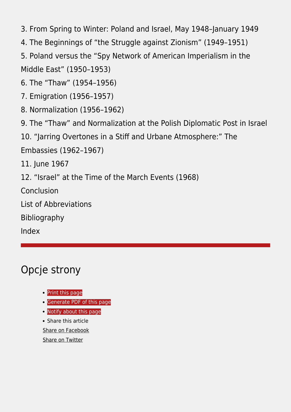3. From Spring to Winter: Poland and Israel, May 1948–January 1949

4. The Beginnings of "the Struggle against Zionism" (1949–1951)

5. Poland versus the "Spy Network of American Imperialism in the Middle East" (1950–1953)

6. The "Thaw" (1954–1956)

7. Emigration (1956–1957)

8. Normalization (1956–1962)

9. The "Thaw" and Normalization at the Polish Diplomatic Post in Israel

10. "Jarring Overtones in a Stiff and Urbane Atmosphere:" The

Embassies (1962–1967)

11. June 1967

12. "Israel" at the Time of the March Events (1968)

Conclusion

List of Abbreviations

Bibliography

Index

## Opcje strony

- [Print](https://ipn.gov.pl/javascript:winopen() [this page](https://ipn.gov.pl/javascript:winopen()
- **[Generate PDF](https://ipn.gov.pl/en/digital-resources/publications/6982,Poland-Israel-19441968-In-the-Shadow-of-the-Past-and-of-the-Soviet-Union-Bozena-.pdf) [of this page](https://ipn.gov.pl/en/digital-resources/publications/6982,Poland-Israel-19441968-In-the-Shadow-of-the-Past-and-of-the-Soviet-Union-Bozena-.pdf)**
- [Notify](https://ipn.gov.pl/en/powiadom/6982,dok.html?poz=digital-resources/publications&drukuj=window) [about this page](https://ipn.gov.pl/en/powiadom/6982,dok.html?poz=digital-resources/publications&drukuj=window)

• Share this article [Share](https://www.facebook.com/sharer/sharer.php?u=https://ipn.gov.pl/en/digital-resources/publications/6982,Poland-Israel-19441968-In-the-Shadow-of-the-Past-and-of-the-Soviet-Union-Bozena-.html) [on Facebook](https://www.facebook.com/sharer/sharer.php?u=https://ipn.gov.pl/en/digital-resources/publications/6982,Poland-Israel-19441968-In-the-Shadow-of-the-Past-and-of-the-Soviet-Union-Bozena-.html) [Share](https://twitter.com/share) [on Twitter](https://twitter.com/share)